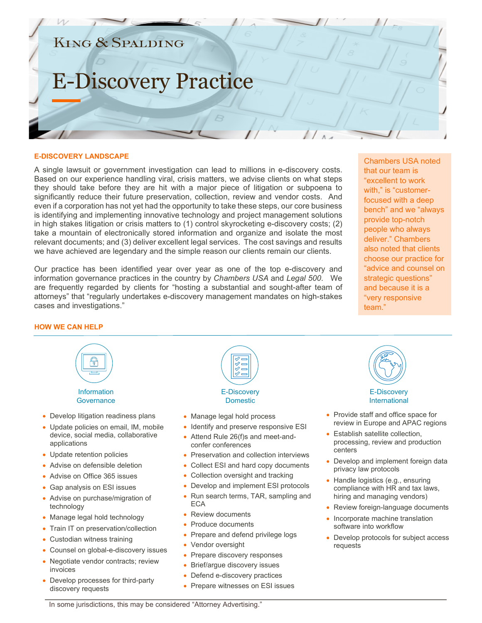### **KING & SPALDING**

## E-Discovery Practice

#### **E-DISCOVERY LANDSCAPE**

A single lawsuit or government investigation can lead to millions in e-discovery costs. Based on our experience handling viral, crisis matters, we advise clients on what steps they should take before they are hit with a major piece of litigation or subpoena to significantly reduce their future preservation, collection, review and vendor costs. And even if a corporation has not yet had the opportunity to take these steps, our core business is identifying and implementing innovative technology and project management solutions in high stakes litigation or crisis matters to (1) control skyrocketing e-discovery costs; (2) take a mountain of electronically stored information and organize and isolate the most relevant documents; and (3) deliver excellent legal services. The cost savings and results we have achieved are legendary and the simple reason our clients remain our clients.

Our practice has been identified year over year as one of the top e-discovery and information governance practices in the country by *Chambers USA* and *Legal 500*. We are frequently regarded by clients for "hosting a substantial and sought-after team of attorneys" that "regularly undertakes e-discovery management mandates on high-stakes cases and investigations."

Chambers USA noted that our team is "excellent to work with," is "customerfocused with a deep bench" and we "always provide top-notch people who always deliver." Chambers also noted that clients choose our practice for "advice and counsel on strategic questions" and because it is a "very responsive team."

#### **HOW WE CAN HELP**



- Update retention policies
- Advise on defensible deletion
- Advise on Office 365 issues
- Gap analysis on ESI issues
- Advise on purchase/migration of technology
- Manage legal hold technology
- Train IT on preservation/collection
- Custodian witness training
- Counsel on global-e-discovery issues
- Negotiate vendor contracts; review invoices
- Develop processes for third-party discovery requests



- Manage legal hold process
- Identify and preserve responsive ESI
- Attend Rule 26(f)s and meet-andconfer conferences
- Preservation and collection interviews
- Collect ESI and hard copy documents
- Collection oversight and tracking
- Develop and implement ESI protocols
- Run search terms, TAR, sampling and ECA
- Review documents
- Produce documents
- Prepare and defend privilege logs
- Vendor oversight
- Prepare discovery responses
- Brief/argue discovery issues
- Defend e-discovery practices
- Prepare witnesses on ESI issues



#### E-Discovery International

- Provide staff and office space for review in Europe and APAC regions
- Establish satellite collection, processing, review and production centers
- Develop and implement foreign data privacy law protocols
- Handle logistics (e.g., ensuring compliance with HR and tax laws, hiring and managing vendors)
- Review foreign-language documents
- Incorporate machine translation software into workflow
- Develop protocols for subject access requests